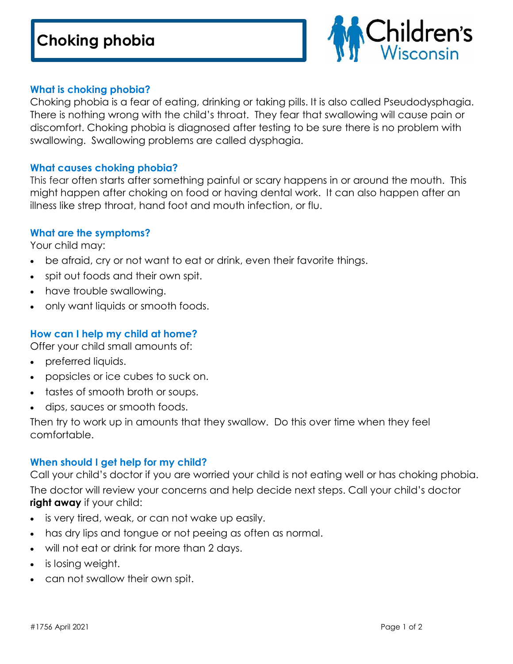

### **What is choking phobia?**

Choking phobia is a fear of eating, drinking or taking pills. It is also called Pseudodysphagia. There is nothing wrong with the child's throat. They fear that swallowing will cause pain or discomfort. Choking phobia is diagnosed after testing to be sure there is no problem with swallowing. Swallowing problems are called dysphagia.

### **What causes choking phobia?**

This fear often starts after something painful or scary happens in or around the mouth. This might happen after choking on food or having dental work. It can also happen after an illness like strep throat, hand foot and mouth infection, or flu.

### **What are the symptoms?**

Your child may:

- be afraid, cry or not want to eat or drink, even their favorite things.
- spit out foods and their own spit.
- have trouble swallowing.
- only want liquids or smooth foods.

## **How can I help my child at home?**

Offer your child small amounts of:

- preferred liquids.
- popsicles or ice cubes to suck on.
- tastes of smooth broth or soups.
- dips, sauces or smooth foods.

Then try to work up in amounts that they swallow. Do this over time when they feel comfortable.

# **When should I get help for my child?**

Call your child's doctor if you are worried your child is not eating well or has choking phobia. The doctor will review your concerns and help decide next steps. Call your child's doctor **right away** if your child:

- is very tired, weak, or can not wake up easily.
- has dry lips and tongue or not peeing as often as normal.
- will not eat or drink for more than 2 days.
- is losing weight.
- can not swallow their own spit.